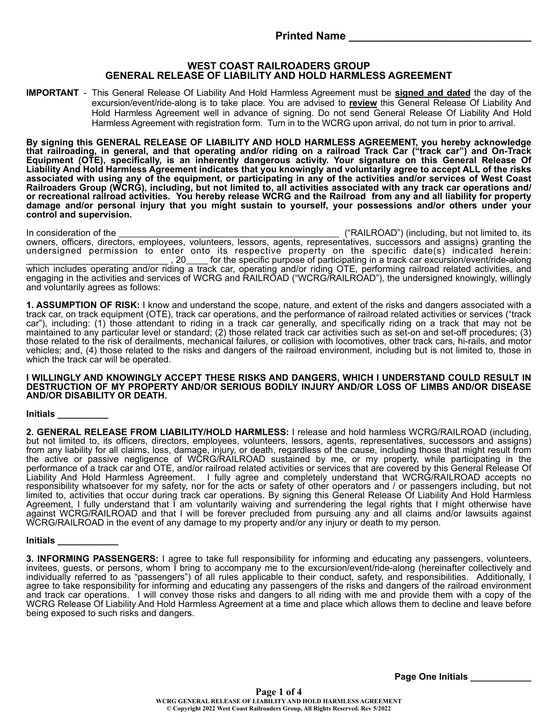## **WEST COAST RAILROADERS GROUP GENERAL RELEASE OF LIABILITY AND HOLD HARMLESS AGREEMENT**

**IMPORTANT** - This General Release Of Liability And Hold Harmless Agreement must be **signed and dated** the day of the excursion/event/ride-along is to take place. You are advised to **review** this General Release Of Liability And Hold Harmless Agreement well in advance of signing. Do not send General Release Of Liability And Hold Harmless Agreement with registration form. Turn in to the WCRG upon arrival, do not turn in prior to arrival.

**By signing this GENERAL RELEASE OF LIABILITY AND HOLD HARMLESS AGREEMENT, you hereby acknowledge that railroading, in general, and that operating and/or riding on a railroad Track Car ("track car") and On-Track Equipment (OTE), specifically, is an inherently dangerous activity. Your signature on this General Release Of Liability And Hold Harmless Agreement indicates that you knowingly and voluntarily agree to accept ALL of the risks associated with using any of the equipment, or participating in any of the activities and/or services of West Coast Railroaders Group (WCRG), including, but not limited to, all activities associated with any track car operations and/ or recreational railroad activities. You hereby release WCRG and the Railroad from any and all liability for property damage and/or personal injury that you might sustain to yourself, your possessions and/or others under your control and supervision.**

In consideration of the ( $\blacksquare$ ) (including, but not limited to, its owners, officers, directors, employees, volunteers, lessors, agents, representatives, successors and assigns) granting the undersigned permission to enter onto its respective property on the specific date(s) indicated herein: \_\_\_\_\_\_\_\_\_\_\_\_\_\_\_\_\_\_\_\_\_\_\_\_\_\_\_\_ , 20 for the specific purpose of participating in a track car excursion/event/ride-along which includes operating and/or riding a track car, operating and/or riding OTE, performing railroad related activities, and engaging in the activities and services of WCRG and RAILROAD ("WCRG/RAILROAD"), the undersigned knowingly, willingly and voluntarily agrees as follows:

**1. ASSUMPTION OF RISK:** I know and understand the scope, nature, and extent of the risks and dangers associated with a track car, on track equipment (OTE), track car operations, and the performance of railroad related activities or services ("track car"), including: (1) those attendant to riding in a track car generally, and specifically riding on a track that may not be maintained to any particular level or standard; (2) those related track car activities such as set-on and set-off procedures; (3) those related to the risk of derailments, mechanical failures, or collision with locomotives, other track cars, hi-rails, and motor vehicles; and, (4) those related to the risks and dangers of the railroad environment, including but is not limited to, those in which the track car will be operated.

**I WILLINGLY AND KNOWINGLY ACCEPT THESE RISKS AND DANGERS, WHICH I UNDERSTAND COULD RESULT IN DESTRUCTION OF MY PROPERTY AND/OR SERIOUS BODILY INJURY AND/OR LOSS OF LIMBS AND/OR DISEASE AND/OR DISABILITY OR DEATH.** 

## **Initials \_\_\_\_\_\_\_\_\_\_**

**2. GENERAL RELEASE FROM LIABILITY/HOLD HARMLESS:** I release and hold harmless WCRG/RAILROAD (including, but not limited to, its officers, directors, employees, volunteers, lessors, agents, representatives, successors and assigns) from any liability for all claims, loss, damage, injury, or death, regardless of the cause, including those that might result from the active or passive negligence of WCRG/RAILROAD sustained by me, or my property, while participating in the performance of a track car and OTE, and/or railroad related activities or services that are covered by this General Release Of Liability And Hold Harmless Agreement. I fully agree and completely understand that WCRG/RAILROAD accepts no responsibility whatsoever for my safety, nor for the acts or safety of other operators and / or passengers including, but not limited to, activities that occur during track car operations. By signing this General Release Of Liability And Hold Harmless Agreement, I fully understand that I am voluntarily waiving and surrendering the legal rights that I might otherwise have against WCRG/RAILROAD and that I will be forever precluded from pursuing any and all claims and/or lawsuits against WCRG/RAILROAD in the event of any damage to my property and/or any injury or death to my person.

### **Initials \_\_\_\_\_\_\_\_\_\_\_\_**

**3. INFORMING PASSENGERS:** I agree to take full responsibility for informing and educating any passengers, volunteers, invitees, guests, or persons, whom I bring to accompany me to the excursion/event/ride-along (hereinafter collectively and individually referred to as "passengers") of all rules applicable to their conduct, safety, and responsibilities. Additionally, I agree to take responsibility for informing and educating any passengers of the risks and dangers of the railroad environment and track car operations. I will convey those risks and dangers to all riding with me and provide them with a copy of the WCRG Release Of Liability And Hold Harmless Agreement at a time and place which allows them to decline and leave before being exposed to such risks and dangers.

**Page One Initials \_\_\_\_\_\_\_\_\_\_\_\_**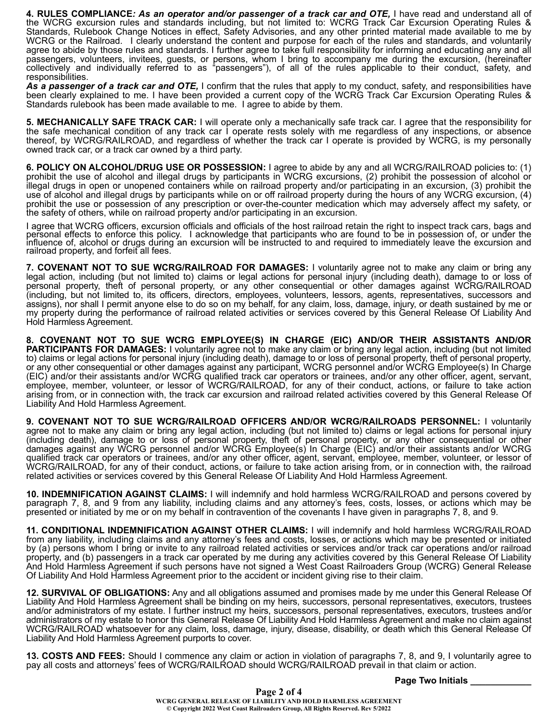**4. RULES COMPLIANCE***: As an operator and/or passenger of a track car and OTE,* I have read and understand all of the WCRG excursion rules and standards including, but not limited to: WCRG Track Car Excursion Operating Rules & Standards, Rulebook Change Notices in effect, Safety Advisories, and any other printed material made available to me by WCRG or the Railroad. I clearly understand the content and purpose for each of the rules and standards, and voluntarily agree to abide by those rules and standards. I further agree to take full responsibility for informing and educating any and all passengers, volunteers, invitees, guests, or persons, whom I bring to accompany me during the excursion, (hereinafter collectively and individually referred to as "passengers"), of all of the rules applicable to their conduct, safety, and responsibilities.

*As a passenger of a track car and OTE,* I confirm that the rules that apply to my conduct, safety, and responsibilities have been clearly explained to me. I have been provided a current copy of the WCRG Track Car Excursion Operating Rules & Standards rulebook has been made available to me. I agree to abide by them.

**5. MECHANICALLY SAFE TRACK CAR:** I will operate only a mechanically safe track car. I agree that the responsibility for the safe mechanical condition of any track car I operate rests solely with me regardless of any inspections, or absence thereof, by WCRG/RAILROAD, and regardless of whether the track car I operate is provided by WCRG, is my personally owned track car, or a track car owned by a third party.

**6. POLICY ON ALCOHOL/DRUG USE OR POSSESSION:** I agree to abide by any and all WCRG/RAILROAD policies to: (1) prohibit the use of alcohol and illegal drugs by participants in WCRG excursions, (2) prohibit the possession of alcohol or illegal drugs in open or unopened containers while on railroad property and/or participating in an excursion, (3) prohibit the use of alcohol and illegal drugs by participants while on or off railroad property during the hours of any WCRG excursion, (4) prohibit the use or possession of any prescription or over-the-counter medication which may adversely affect my safety, or the safety of others, while on railroad property and/or participating in an excursion.

I agree that WCRG officers, excursion officials and officials of the host railroad retain the right to inspect track cars, bags and personal effects to enforce this policy. I acknowledge that participants who are found to be in possession of, or under the influence of, alcohol or drugs during an excursion will be instructed to and required to immediately leave the excursion and railroad property, and forfeit all fees.

**7. COVENANT NOT TO SUE WCRG/RAILROAD FOR DAMAGES:** I voluntarily agree not to make any claim or bring any legal action, including (but not limited to) claims or legal actions for personal injury (including death), damage to or loss of personal property, theft of personal property, or any other consequential or other damages against WCRG/RAILROAD (including, but not limited to, its officers, directors, employees, volunteers, lessors, agents, representatives, successors and assigns), nor shall I permit anyone else to do so on my behalf, for any claim, loss, damage, injury, or death sustained by me or my property during the performance of railroad related activities or services covered by this General Release Of Liability And Hold Harmless Agreement.

**8. COVENANT NOT TO SUE WCRG EMPLOYEE(S) IN CHARGE (EIC) AND/OR THEIR ASSISTANTS AND/OR**  PARTICIPANTS FOR DAMAGES: I voluntarily agree not to make any claim or bring any legal action, including (but not limited to) claims or legal actions for personal injury (including death), damage to or loss of personal property, theft of personal property, or any other consequential or other damages against any participant, WCRG personnel and/or WCRG Employee(s) In Charge (EIC) and/or their assistants and/or WCRG qualified track car operators or trainees, and/or any other officer, agent, servant, employee, member, volunteer, or lessor of WCRG/RAILROAD, for any of their conduct, actions, or failure to take action arising from, or in connection with, the track car excursion and railroad related activities covered by this General Release Of Liability And Hold Harmless Agreement.

**9. COVENANT NOT TO SUE WCRG/RAILROAD OFFICERS AND/OR WCRG/RAILROADS PERSONNEL:** I voluntarily agree not to make any claim or bring any legal action, including (but not limited to) claims or legal actions for personal injury (including death), damage to or loss of personal property, theft of personal property, or any other consequential or other damages against any WCRG personnel and/or WCRG Employee(s) In Charge (EIC) and/or their assistants and/or WCRG qualified track car operators or trainees, and/or any other officer, agent, servant, employee, member, volunteer, or lessor of WCRG/RAILROAD, for any of their conduct, actions, or failure to take action arising from, or in connection with, the railroad related activities or services covered by this General Release Of Liability And Hold Harmless Agreement.

**10. INDEMNIFICATION AGAINST CLAIMS:** I will indemnify and hold harmless WCRG/RAILROAD and persons covered by paragraph 7, 8, and 9 from any liability, including claims and any attorney's fees, costs, losses, or actions which may be presented or initiated by me or on my behalf in contravention of the covenants I have given in paragraphs 7, 8, and 9.

**11. CONDITIONAL INDEMNIFICATION AGAINST OTHER CLAIMS:** I will indemnify and hold harmless WCRG/RAILROAD from any liability, including claims and any attorney's fees and costs, losses, or actions which may be presented or initiated by (a) persons whom I bring or invite to any railroad related activities or services and/or track car operations and/or railroad property, and (b) passengers in a track car operated by me during any activities covered by this General Release Of Liability And Hold Harmless Agreement if such persons have not signed a West Coast Railroaders Group (WCRG) General Release Of Liability And Hold Harmless Agreement prior to the accident or incident giving rise to their claim.

**12. SURVIVAL OF OBLIGATIONS:** Any and all obligations assumed and promises made by me under this General Release Of Liability And Hold Harmless Agreement shall be binding on my heirs, successors, personal representatives, executors, trustees and/or administrators of my estate. I further instruct my heirs, successors, personal representatives, executors, trustees and/or administrators of my estate to honor this General Release Of Liability And Hold Harmless Agreement and make no claim against WCRG/RAILROAD whatsoever for any claim, loss, damage, injury, disease, disability, or death which this General Release Of Liability And Hold Harmless Agreement purports to cover.

**13. COSTS AND FEES:** Should I commence any claim or action in violation of paragraphs 7, 8, and 9, I voluntarily agree to pay all costs and attorneys' fees of WCRG/RAILROAD should WCRG/RAILROAD prevail in that claim or action.

**Page Two Initials**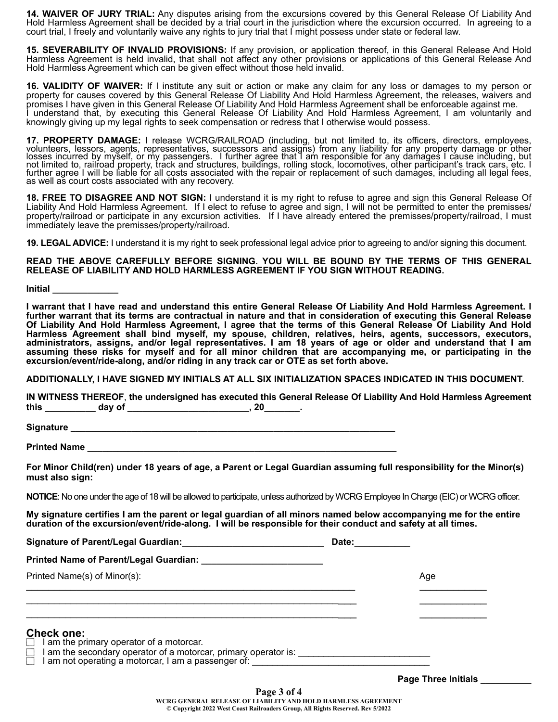**14. WAIVER OF JURY TRIAL:** Any disputes arising from the excursions covered by this General Release Of Liability And Hold Harmless Agreement shall be decided by a trial court in the jurisdiction where the excursion occurred. In agreeing to a court trial, I freely and voluntarily waive any rights to jury trial that I might possess under state or federal law.

**15. SEVERABILITY OF INVALID PROVISIONS:** If any provision, or application thereof, in this General Release And Hold Harmless Agreement is held invalid, that shall not affect any other provisions or applications of this General Release And Hold Harmless Agreement which can be given effect without those held invalid.

**16. VALIDITY OF WAIVER:** If I institute any suit or action or make any claim for any loss or damages to my person or property for causes covered by this General Release Of Liability And Hold Harmless Agreement, the releases, waivers and promises I have given in this General Release Of Liability And Hold Harmless Agreement shall be enforceable against me. I understand that, by executing this General Release Of Liability And Hold Harmless Agreement, I am voluntarily and knowingly giving up my legal rights to seek compensation or redress that I otherwise would possess.

17. PROPERTY DAMAGE: I release WCRG/RAILROAD (including, but not limited to, its officers, directors, employees,<br>volunteers, lessors, agents, representatives, successors and assigns) from any liability for any property dam losses incurred by myself, or my passengers. I further agree that I am responsible for any damages I cause including, but not limited to, railroad property, track and structures, buildings, rolling stock, locomotives, other participant's track cars, etc. I further agree I will be liable for all costs associated with the repair or replacement of such damages, including all legal fees, as well as court costs associated with any recovery.

**18. FREE TO DISAGREE AND NOT SIGN:** I understand it is my right to refuse to agree and sign this General Release Of Liability And Hold Harmless Agreement. If I elect to refuse to agree and sign, I will not be permitted to enter the premisses/ property/railroad or participate in any excursion activities. If I have already entered the premisses/property/railroad, I must immediately leave the premisses/property/railroad.

**19. LEGAL ADVICE:** I understand it is my right to seek professional legal advice prior to agreeing to and/or signing this document.

#### **READ THE ABOVE CAREFULLY BEFORE SIGNING. YOU WILL BE BOUND BY THE TERMS OF THIS GENERAL RELEASE OF LIABILITY AND HOLD HARMLESS AGREEMENT IF YOU SIGN WITHOUT READING.**

**Initial \_\_\_\_\_\_\_\_\_\_\_\_\_**

**I warrant that I have read and understand this entire General Release Of Liability And Hold Harmless Agreement. I further warrant that its terms are contractual in nature and that in consideration of executing this General Release Of Liability And Hold Harmless Agreement, I agree that the terms of this General Release Of Liability And Hold Harmless Agreement shall bind myself, my spouse, children, relatives, heirs, agents, successors, executors, administrators, assigns, and/or legal representatives. I am 18 years of age or older and understand that I am assuming these risks for myself and for all minor children that are accompanying me, or participating in the excursion/event/ride-along, and/or riding in any track car or OTE as set forth above.**

**ADDITIONALLY, I HAVE SIGNED MY INITIALS AT ALL SIX INITIALIZATION SPACES INDICATED IN THIS DOCUMENT.**

**IN WITNESS THEREOF**, **the undersigned has executed this General Release Of Liability And Hold Harmless Agreement this \_\_\_\_\_\_\_\_\_\_ day of \_\_\_\_\_\_\_\_\_\_\_\_\_\_\_\_\_\_\_\_\_\_\_\_, 20\_\_\_\_\_\_\_.**

**Signature \_\_\_\_\_\_\_\_\_\_\_\_\_\_\_\_\_\_\_\_\_\_\_\_\_\_\_\_\_\_\_\_\_\_\_\_\_\_\_\_\_\_\_\_\_\_\_\_\_\_\_\_\_\_\_\_\_\_\_\_\_\_\_\_** 

**Printed Name** 

**For Minor Child(ren) under 18 years of age, a Parent or Legal Guardian assuming full responsibility for the Minor(s) must also sign:**

**NOTICE**: No one under the age of 18 will be allowed to participate, unless authorized by WCRG Employee In Charge (EIC) or WCRG officer.

**My signature certifies I am the parent or legal guardian of all minors named below accompanying me for the entire duration of the excursion/event/ride-along. I will be responsible for their conduct and safety at all times.**

| Signature of Parent/Legal Guardian: Signature of Parent/Legal Guardian:                                                                                                                           | Date: |                     |  |
|---------------------------------------------------------------------------------------------------------------------------------------------------------------------------------------------------|-------|---------------------|--|
| Printed Name of Parent/Legal Guardian: Name of Parent/Legal Guardian:                                                                                                                             |       |                     |  |
| Printed Name(s) of Minor(s):                                                                                                                                                                      |       | Age                 |  |
|                                                                                                                                                                                                   |       |                     |  |
|                                                                                                                                                                                                   |       |                     |  |
| <b>Check one:</b><br>I am the primary operator of a motorcar.<br>$\Box$<br>I am the secondary operator of a motorcar, primary operator is:<br>I am not operating a motorcar, I am a passenger of: |       |                     |  |
|                                                                                                                                                                                                   |       | Page Three Initials |  |